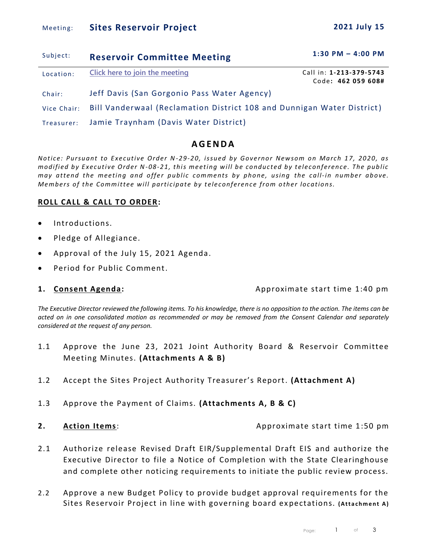# Meetin g: **Sites Reservoir Project 2021 July 15**

Code**: 462 059 608#**

| Subject:  | <b>Reservoir Committee Meeting</b> | $1:30$ PM $-$ 4:00 PM   |
|-----------|------------------------------------|-------------------------|
| Location: | Click here to join the meeting     | Call in: 1-213-379-5743 |

Chair: Jeff Davis (San Gorgonio Pass Water Agency)

Vice Chair: Bill Vanderwaal (Reclamation District 108 and Dunnigan Water District)

Treasurer: Jamie Traynham (Davis Water District)

# **A G E N D A**

*Notice: Pursuant to Executive Order N-29-20, issued by Governor Newsom on March 17, 2020, as modified by Executive Order N-08-21, this meeting will be conducted by teleconference. The public may attend the meeting and offer public comments by phone, using the call-in number above. Members of the Committee will participate by teleconference from other locations.* 

# **ROLL CALL & CALL TO ORDER:**

- Introductions.
- Pledge of Allegiance.
- Approval of the July 15, 2021 Agenda.
- Period for Public Comment.

**1. Consent Agenda:** Approximate start time 1:40 pm

*The Executive Director reviewed the following items. To his knowledge, there is no opposition to the action. The items can be acted on in one consolidated motion as recommended or may be removed from the Consent Calendar and separately considered at the request of any person.* 

- 1.1 Approve the June 23, 2021 Joint Authority Board & Reservoir Committee Meeting Minutes. **(Attachments A & B)**
- 1.2 Accept the Sites Project Authority Treasurer's Report. **(Attachment A)**
- 1.3 Approve the Payment of Claims. **(Attachments A, B & C)**
- 

**2. Action Items**: **Approximate start time 1:50 pm** 

- 2.1 Authorize release Revised Draft EIR/Supplemental Draft EIS and authorize the Executive Director to file a Notice of Completion with the State Clearinghouse and complete other noticing requirements to initiate the public review process.
- 2.2 Approve a new Budget Policy to provide budget approval requirements for the Sites Reservoir Project in line with governing board expectations. (Attachment A)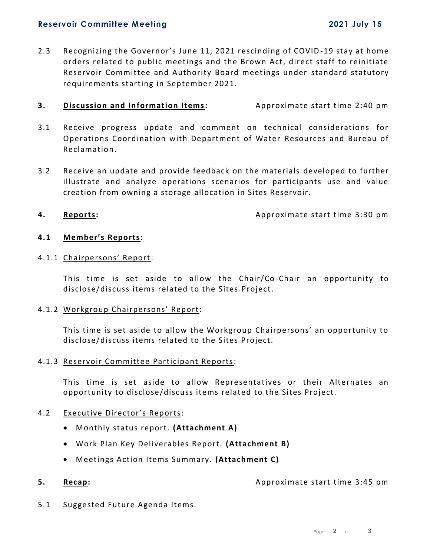### **Reservoir Committee Meeting 2021 July 15**

- 
- 2.3 Recognizing the Governor's June 11, 2021 rescinding of COVID -19 stay at home orders related to public meetings and the Brown Act, direct staff to reinitiate Reservoir Committee and Authority Board meetings under standard statutory requirements starting in September 2021.

# **3. Discussion and Information Items:** Approximate start time 2:40 pm

- 3.1 Receive progress update and comment on technical considerations for Operations Coordination with Department of Water Resources and Bureau of Reclamation.
- 3.2 Receive an update and provide feedback on the materials developed to further illustrate and analyze operations scenarios for participants use and value creation from owning a storage allocation in Sites Reservoir.

**4. Reports: Approximate start time 3:30 pm** 

# **4.1 Member's Reports:**

### 4.1.1 Chairpersons' Report:

This time is set aside to allow the Chair/Co -Chair an opportunity to disclose/discuss items related to the Sites Project.

#### 4.1.2 Workgroup Chairpersons' Report:

This time is set aside to allow the Workgroup Chairpersons' an opportunity to disclose/discuss items related to the Sites Project.

# 4.1.3 Reservoir Committee Participant Reports:

This time is set aside to allow Representatives or their Alternates an opportunity to disclose/discuss items related to the Sites Project.

# 4.2 Executive Director's Reports:

- Monthly status report. **(Attachment A)**
- Work Plan Key Deliverables Report. **(Attachment B)**
- Meetings Action Items Summary. **(Attachment C)**

# **5. Recap: Approximate start time 3:45 pm**

5.1 Suggested Future Agenda Items.